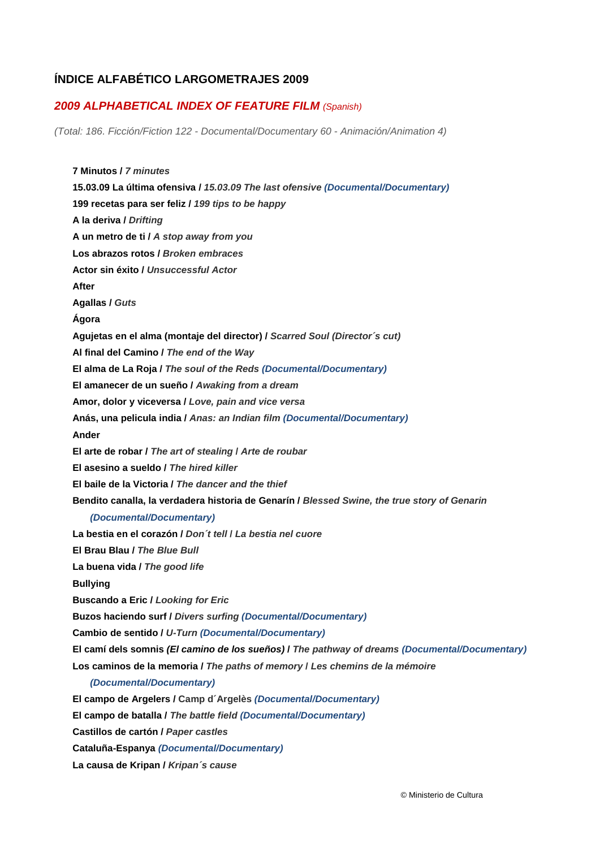## **ÍNDICE ALFABÉTICO LARGOMETRAJES 2009**

## *2009 ALPHABETICAL INDEX OF FEATURE FILM (Spanish)*

*(Total: 186. Ficción/Fiction 122 - Documental/Documentary 60 - Animación/Animation 4)* 

**7 Minutos /** *7 minutes*  **15.03.09 La última ofensiva /** *15.03.09 The last ofensive (Documental/Documentary)*  **199 recetas para ser feliz /** *199 tips to be happy*  **A la deriva /** *Drifting*  **A un metro de ti /** *A stop away from you*  **Los abrazos rotos /** *Broken embraces*  **Actor sin éxito /** *Unsuccessful Actor*  **After Agallas /** *Guts*  **Ágora Agujetas en el alma (montaje del director) /** *Scarred Soul (Director´s cut)*  **Al final del Camino /** *The end of the Way*  **El alma de La Roja /** *The soul of the Reds (Documental/Documentary)*  **El amanecer de un sueño /** *Awaking from a dream*  **Amor, dolor y viceversa /** *Love, pain and vice versa*  **Anás, una pelicula india /** *Anas: an Indian film (Documental/Documentary)*  **Ander El arte de robar /** *The art of stealing* **/** *Arte de roubar*  **El asesino a sueldo /** *The hired killer*  **El baile de la Victoria /** *The dancer and the thief*  **Bendito canalla, la verdadera historia de Genarín /** *Blessed Swine, the true story of Genarin (Documental/Documentary)*  **La bestia en el corazón /** *Don´t tell* **/** *La bestia nel cuore*  **El Brau Blau /** *The Blue Bull*  **La buena vida /** *The good life*  **Bullying Buscando a Eric /** *Looking for Eric* **Buzos haciendo surf /** *Divers surfing (Documental/Documentary)*  **Cambio de sentido /** *U-Turn (Documental/Documentary)*  **El camí dels somnis** *(El camino de los sueños)* **/** *The pathway of dreams (Documental/Documentary)*  **Los caminos de la memoria /** *The paths of memory* **/** *Les chemins de la mémoire (Documental/Documentary)*  **El campo de Argelers / Camp d´Argelès** *(Documental/Documentary)*  **El campo de batalla /** *The battle field (Documental/Documentary)* 

**Castillos de cartón /** *Paper castles* 

**Cataluña-Espanya** *(Documental/Documentary)* 

**La causa de Kripan /** *Kripan´s cause*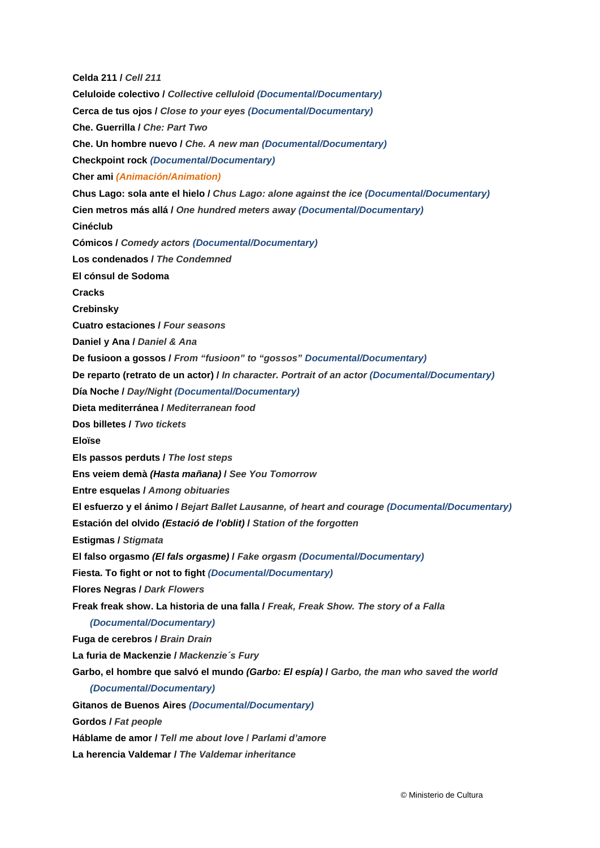**Celda 211 /** *Cell 211*  **Celuloide colectivo /** *Collective celluloid (Documental/Documentary)*  **Cerca de tus ojos /** *Close to your eyes (Documental/Documentary)*  **Che. Guerrilla /** *Che: Part Two*  **Che. Un hombre nuevo /** *Che. A new man (Documental/Documentary)*  **Checkpoint rock** *(Documental/Documentary)*  **Cher ami** *(Animación/Animation)*  **Chus Lago: sola ante el hielo /** *Chus Lago: alone against the ice (Documental/Documentary)*  **Cien metros más allá /** *One hundred meters away (Documental/Documentary)*  **Cinéclub Cómicos /** *Comedy actors (Documental/Documentary)*  **Los condenados /** *The Condemned*  **El cónsul de Sodoma Cracks Crebinsky Cuatro estaciones /** *Four seasons*  **Daniel y Ana /** *Daniel & Ana*  **De fusioon a gossos /** *From "fusioon" to "gossos" Documental/Documentary)* **De reparto (retrato de un actor) /** *In character. Portrait of an actor (Documental/Documentary)* **Día Noche /** *Day/Night (Documental/Documentary)*  **Dieta mediterránea /** *Mediterranean food*  **Dos billetes /** *Two tickets*  **Eloïse Els passos perduts /** *The lost steps*  **Ens veiem demà** *(Hasta mañana)* **/** *See You Tomorrow*  **Entre esquelas /** *Among obituaries*  **El esfuerzo y el ánimo /** *Bejart Ballet Lausanne, of heart and courage (Documental/Documentary)*  **Estación del olvido** *(Estació de l'oblit)* **/** *Station of the forgotten*  **Estigmas /** *Stigmata*  **El falso orgasmo** *(El fals orgasme)* **/** *Fake orgasm (Documental/Documentary)*  **Fiesta. To fight or not to fight** *(Documental/Documentary)*  **Flores Negras /** *Dark Flowers*  **Freak freak show. La historia de una falla /** *Freak, Freak Show. The story of a Falla (Documental/Documentary)*  **Fuga de cerebros /** *Brain Drain*  **La furia de Mackenzie /** *Mackenzie´s Fury*  **Garbo, el hombre que salvó el mundo** *(Garbo: El espía)* **/** *Garbo, the man who saved the world (Documental/Documentary)*  **Gitanos de Buenos Aires** *(Documental/Documentary)*  **Gordos /** *Fat people*  **Háblame de amor /** *Tell me about love* **/** *Parlami d'amore*  **La herencia Valdemar /** *The Valdemar inheritance*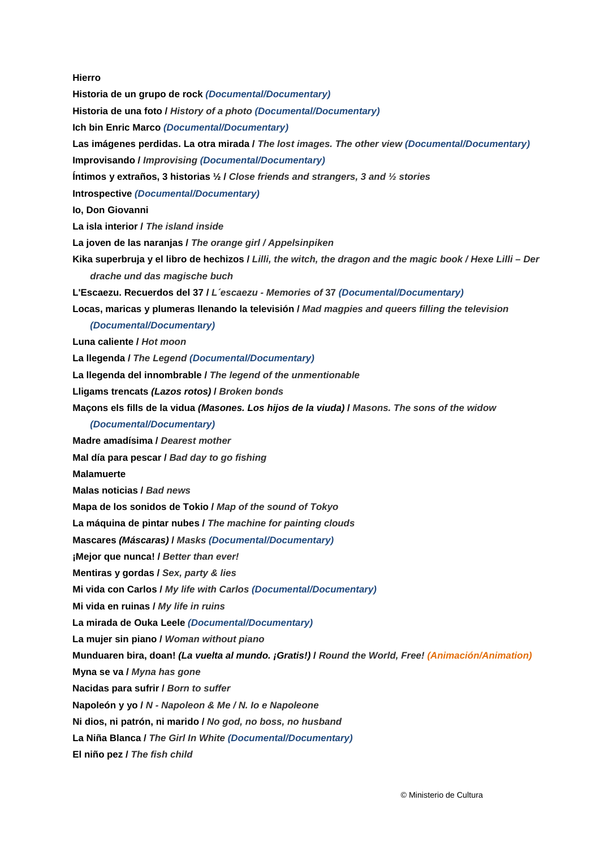## **Hierro**

**Historia de un grupo de rock** *(Documental/Documentary)*  **Historia de una foto /** *History of a photo (Documental/Documentary)*  **Ich bin Enric Marco** *(Documental/Documentary)* **Las imágenes perdidas. La otra mirada /** *The lost images. The other view (Documental/Documentary)* **Improvisando /** *Improvising (Documental/Documentary)*  **Íntimos y extraños, 3 historias ½ /** *Close friends and strangers, 3 and ½ stories*  **Introspective** *(Documental/Documentary)*  **Io, Don Giovanni La isla interior /** *The island inside*  **La joven de las naranjas /** *The orange girl / Appelsinpiken*  **Kika superbruja y el libro de hechizos /** *Lilli, the witch, the dragon and the magic book / Hexe Lilli – Der drache und das magische buch*  **L'Escaezu. Recuerdos del 37 /** *L´escaezu - Memories of* **37** *(Documental/Documentary)*  **Locas, maricas y plumeras llenando la televisión /** *Mad magpies and queers filling the television (Documental/Documentary)*  **Luna caliente /** *Hot moon*  **La llegenda /** *The Legend (Documental/Documentary)*  **La llegenda del innombrable /** *The legend of the unmentionable*  **Lligams trencats** *(Lazos rotos)* **/** *Broken bonds*  **Maçons els fills de la vidua** *(Masones. Los hijos de la viuda)* **/** *Masons. The sons of the widow (Documental/Documentary)*  **Madre amadísima /** *Dearest mother*  **Mal día para pescar /** *Bad day to go fishing*  **Malamuerte Malas noticias /** *Bad news*  **Mapa de los sonidos de Tokio /** *Map of the sound of Tokyo*  **La máquina de pintar nubes /** *The machine for painting clouds*  **Mascares** *(Máscaras)* **/** *Masks (Documental/Documentary)*  **¡Mejor que nunca! /** *Better than ever!*  **Mentiras y gordas /** *Sex, party & lies*  **Mi vida con Carlos /** *My life with Carlos (Documental/Documentary)*  **Mi vida en ruinas /** *My life in ruins*  **La mirada de Ouka Leele** *(Documental/Documentary)* **La mujer sin piano /** *Woman without piano* **Munduaren bira, doan!** *(La vuelta al mundo. ¡Gratis!)* **/** *Round the World, Free! (Animación/Animation)* **Myna se va /** *Myna has gone*  **Nacidas para sufrir /** *Born to suffer*  **Napoleón y yo /** *N - Napoleon & Me / N. Io e Napoleone*  **Ni dios, ni patrón, ni marido /** *No god, no boss, no husband*  **La Niña Blanca /** *The Girl In White (Documental/Documentary)*  **El niño pez /** *The fish child*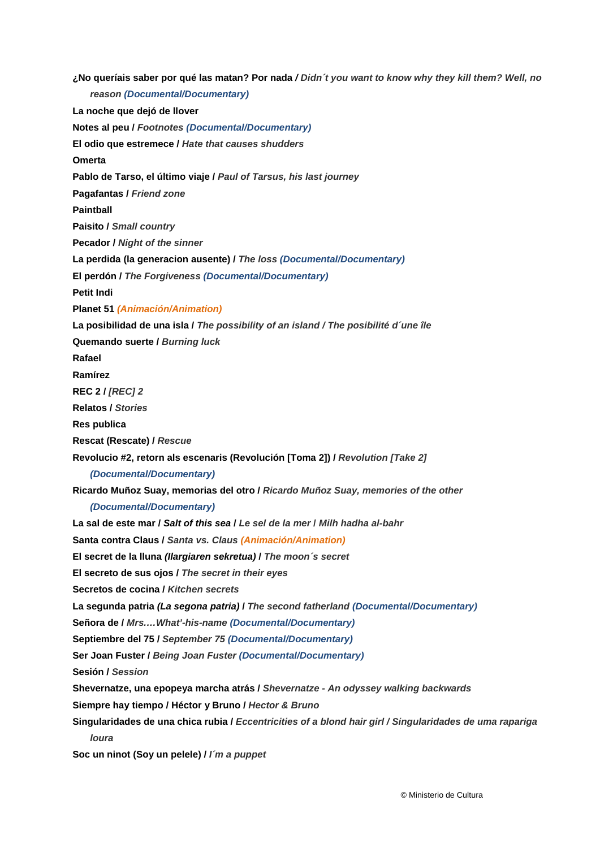**¿No queríais saber por qué las matan? Por nada** */ Didn´t you want to know why they kill them? Well, no reason (Documental/Documentary)*  **La noche que dejó de llover Notes al peu /** *Footnotes (Documental/Documentary)*  **El odio que estremece /** *Hate that causes shudders*  **Omerta Pablo de Tarso, el último viaje /** *Paul of Tarsus, his last journey*  **Pagafantas /** *Friend zone*  **Paintball Paisito /** *Small country*  **Pecador /** *Night of the sinner*  **La perdida (la generacion ausente) /** *The loss (Documental/Documentary)*  **El perdón /** *The Forgiveness (Documental/Documentary)*  **Petit Indi Planet 51** *(Animación/Animation)*  **La posibilidad de una isla /** *The possibility of an island / The posibilité d´une île*  **Quemando suerte /** *Burning luck*  **Rafael Ramírez REC 2 /** *[REC] 2*  **Relatos /** *Stories*  **Res publica Rescat (Rescate) /** *Rescue* **Revolucio #2, retorn als escenaris (Revolución [Toma 2]) /** *Revolution [Take 2] (Documental/Documentary)*  **Ricardo Muñoz Suay, memorias del otro /** *Ricardo Muñoz Suay, memories of the other (Documental/Documentary)*  **La sal de este mar /** *Salt of this sea* **/** *Le sel de la mer* **/** *Milh hadha al-bahr*  **Santa contra Claus /** *Santa vs. Claus (Animación/Animation)*  **El secret de la lluna** *(Ilargiaren sekretua)* **/** *The moon´s secret*  **El secreto de sus ojos /** *The secret in their eyes*  **Secretos de cocina /** *Kitchen secrets*  **La segunda patria** *(La segona patria)* **/** *The second fatherland (Documental/Documentary)*  **Señora de /** *Mrs.…What'-his-name (Documental/Documentary)*  **Septiembre del 75 /** *September 75 (Documental/Documentary)*  **Ser Joan Fuster /** *Being Joan Fuster (Documental/Documentary)*  **Sesión /** *Session*  **Shevernatze, una epopeya marcha atrás /** *Shevernatze - An odyssey walking backwards*  **Siempre hay tiempo / Héctor y Bruno /** *Hector & Bruno*  **Singularidades de una chica rubia /** *Eccentricities of a blond hair girl / Singularidades de uma rapariga loura* 

**Soc un ninot (Soy un pelele) /** *I´m a puppet*